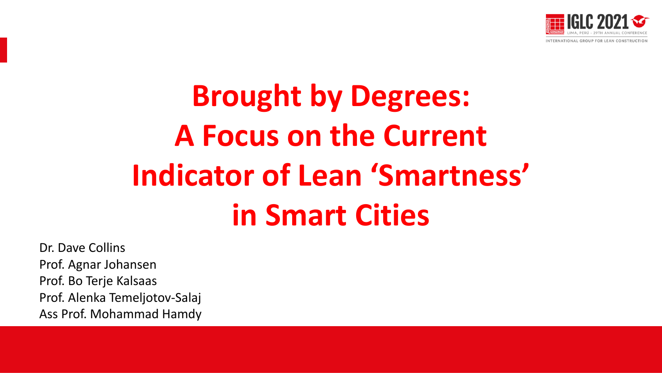

# **Brought by Degrees: A Focus on the Current Indicator of Lean 'Smartness' in Smart Cities**

Dr. Dave Collins Prof. Agnar Johansen Prof. Bo Terje Kalsaas Prof. Alenka Temeljotov-Salaj Ass Prof. Mohammad Hamdy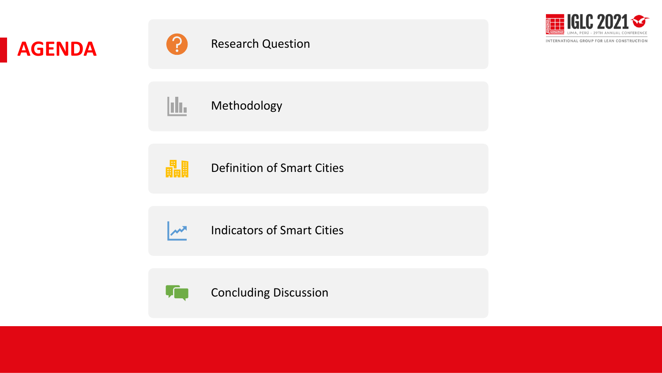



畾

 $\boldsymbol{\mathcal{M}}$ 



INTERNATIONAL GROUP FOR LEAN CONSTRUCTION

þЪ. Methodology

Definition of Smart Cities

Indicators of Smart Cities



Concluding Discussion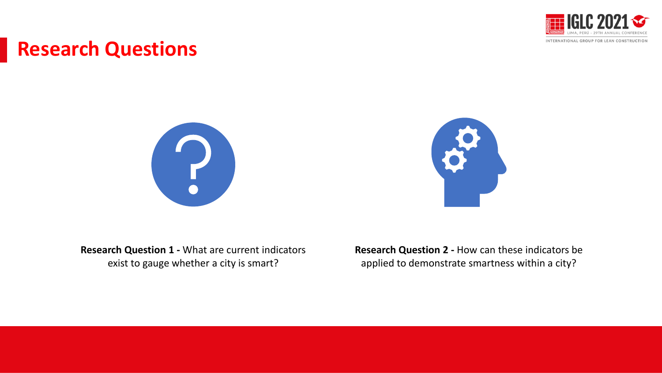

#### **Research Questions**





**Research Question 1 -** What are current indicators exist to gauge whether a city is smart?

**Research Question 2 -** How can these indicators be applied to demonstrate smartness within a city?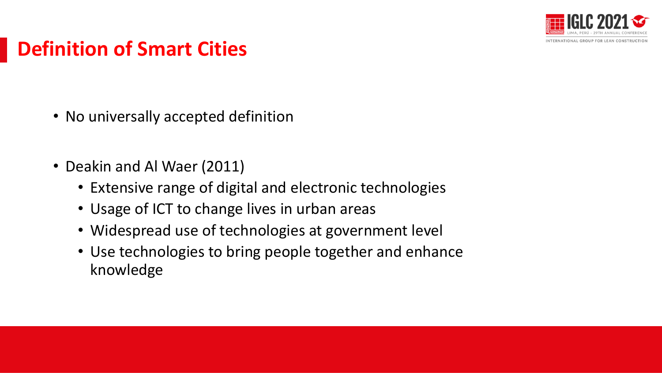

# **Definition of Smart Cities**

- No universally accepted definition
- Deakin and Al Waer (2011)
	- Extensive range of digital and electronic technologies
	- Usage of ICT to change lives in urban areas
	- Widespread use of technologies at government level
	- Use technologies to bring people together and enhance knowledge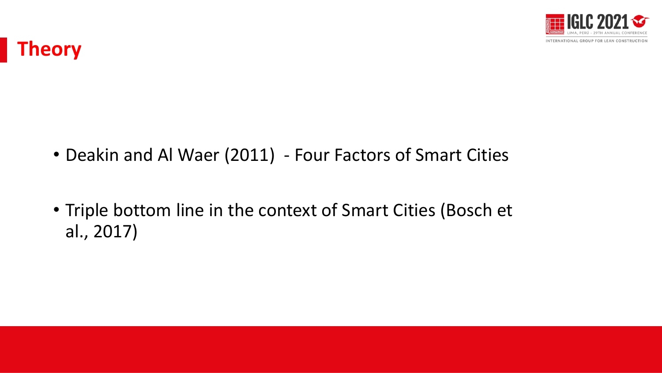

## **Theory**

- Deakin and Al Waer (2011) Four Factors of Smart Cities
- Triple bottom line in the context of Smart Cities (Bosch et al., 2017)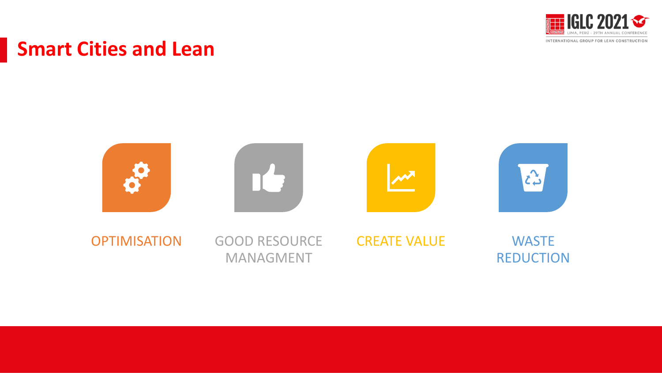

#### **Smart Cities and Lean**

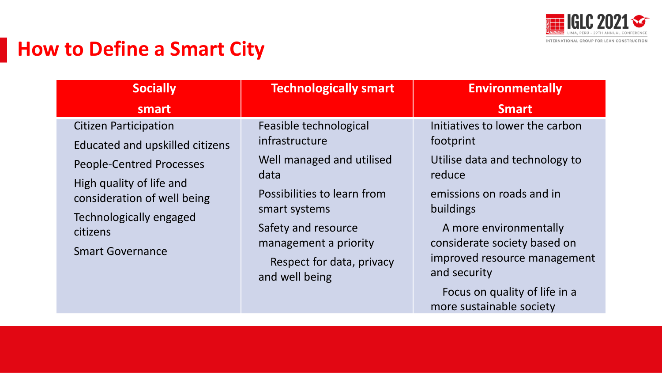

#### **How to Define a Smart City**

| <b>Socially</b>                                                 | <b>Technologically smart</b>                 | <b>Environmentally</b>                                    |
|-----------------------------------------------------------------|----------------------------------------------|-----------------------------------------------------------|
| smart                                                           |                                              | <b>Smart</b>                                              |
| <b>Citizen Participation</b><br>Educated and upskilled citizens | Feasible technological<br>infrastructure     | Initiatives to lower the carbon<br>footprint              |
| <b>People-Centred Processes</b><br>High quality of life and     | Well managed and utilised<br>data            | Utilise data and technology to<br>reduce                  |
| consideration of well being<br>Technologically engaged          | Possibilities to learn from<br>smart systems | emissions on roads and in<br>buildings                    |
| citizens                                                        | Safety and resource<br>management a priority | A more environmentally<br>considerate society based on    |
| <b>Smart Governance</b>                                         | Respect for data, privacy<br>and well being  | improved resource management<br>and security              |
|                                                                 |                                              | Focus on quality of life in a<br>more sustainable society |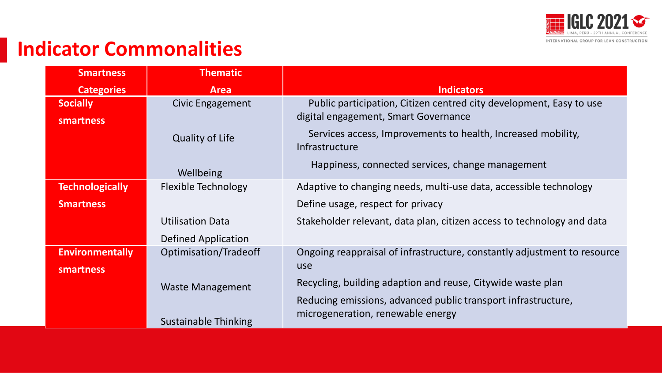

## **Indicator Commonalities**

| <b>Smartness</b>       | <b>Thematic</b>             |                                                                                |
|------------------------|-----------------------------|--------------------------------------------------------------------------------|
| <b>Categories</b>      | <b>Area</b>                 | <b>Indicators</b>                                                              |
| <b>Socially</b>        | Civic Engagement            | Public participation, Citizen centred city development, Easy to use            |
| <b>smartness</b>       |                             | digital engagement, Smart Governance                                           |
|                        | <b>Quality of Life</b>      | Services access, Improvements to health, Increased mobility,<br>Infrastructure |
|                        | Wellbeing                   | Happiness, connected services, change management                               |
| <b>Technologically</b> | Flexible Technology         | Adaptive to changing needs, multi-use data, accessible technology              |
| <b>Smartness</b>       |                             | Define usage, respect for privacy                                              |
|                        | <b>Utilisation Data</b>     | Stakeholder relevant, data plan, citizen access to technology and data         |
|                        | Defined Application         |                                                                                |
| <b>Environmentally</b> | Optimisation/Tradeoff       | Ongoing reappraisal of infrastructure, constantly adjustment to resource       |
| smartness              |                             | use                                                                            |
|                        | <b>Waste Management</b>     | Recycling, building adaption and reuse, Citywide waste plan                    |
|                        |                             | Reducing emissions, advanced public transport infrastructure,                  |
|                        | <b>Sustainable Thinking</b> | microgeneration, renewable energy                                              |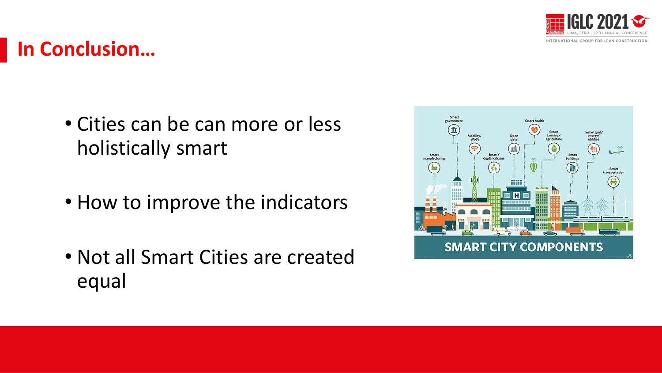

# **In Conclusion…**

- Cities can be can more or less holistically smart
- How to improve the indicators
- Not all Smart Cities are created equal